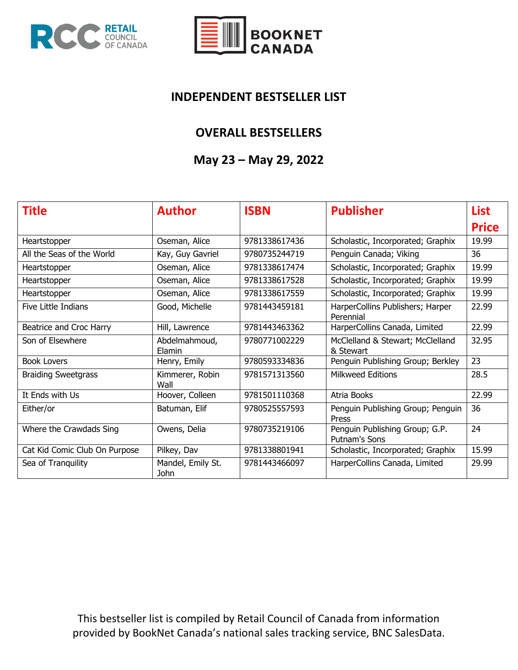



#### **INDEPENDENT BESTSELLER LIST**

#### **OVERALL BESTSELLERS**

#### **May 23 – May 29, 2022**

| <b>Title</b>                  | <b>Author</b>             | <b>ISBN</b>   | <b>Publisher</b>                                | <b>List</b>  |
|-------------------------------|---------------------------|---------------|-------------------------------------------------|--------------|
|                               |                           |               |                                                 | <b>Price</b> |
| Heartstopper                  | Oseman, Alice             | 9781338617436 | Scholastic, Incorporated; Graphix               | 19.99        |
| All the Seas of the World     | Kay, Guy Gavriel          | 9780735244719 | Penguin Canada; Viking                          | 36           |
| Heartstopper                  | Oseman, Alice             | 9781338617474 | Scholastic, Incorporated; Graphix               | 19.99        |
| Heartstopper                  | Oseman, Alice             | 9781338617528 | Scholastic, Incorporated; Graphix               | 19.99        |
| Heartstopper                  | Oseman, Alice             | 9781338617559 | Scholastic, Incorporated; Graphix               | 19.99        |
| Five Little Indians           | Good, Michelle            | 9781443459181 | HarperCollins Publishers; Harper<br>Perennial   | 22.99        |
| Beatrice and Croc Harry       | Hill, Lawrence            | 9781443463362 | HarperCollins Canada, Limited                   | 22.99        |
| Son of Elsewhere              | Abdelmahmoud,<br>Elamin   | 9780771002229 | McClelland & Stewart; McClelland<br>& Stewart   | 32.95        |
| <b>Book Lovers</b>            | Henry, Emily              | 9780593334836 | Penguin Publishing Group; Berkley               | 23           |
| <b>Braiding Sweetgrass</b>    | Kimmerer, Robin<br>Wall   | 9781571313560 | <b>Milkweed Editions</b>                        | 28.5         |
| It Ends with Us               | Hoover, Colleen           | 9781501110368 | Atria Books                                     | 22.99        |
| Either/or                     | Batuman, Elif             | 9780525557593 | Penguin Publishing Group; Penguin<br>Press      | 36           |
| Where the Crawdads Sing       | Owens, Delia              | 9780735219106 | Penguin Publishing Group; G.P.<br>Putnam's Sons | 24           |
| Cat Kid Comic Club On Purpose | Pilkey, Dav               | 9781338801941 | Scholastic, Incorporated; Graphix               | 15.99        |
| Sea of Tranquility            | Mandel, Emily St.<br>John | 9781443466097 | HarperCollins Canada, Limited                   | 29.99        |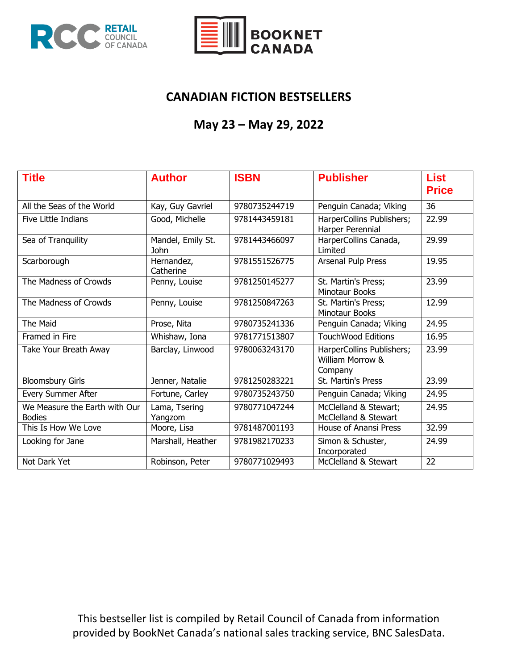



## **CANADIAN FICTION BESTSELLERS**

## **May 23 – May 29, 2022**

| <b>Title</b>                                   | <b>Author</b>             | <b>ISBN</b>   | <b>Publisher</b>                                         | <b>List</b><br><b>Price</b> |
|------------------------------------------------|---------------------------|---------------|----------------------------------------------------------|-----------------------------|
| All the Seas of the World                      | Kay, Guy Gavriel          | 9780735244719 | Penguin Canada; Viking                                   | 36                          |
| Five Little Indians                            | Good, Michelle            | 9781443459181 | HarperCollins Publishers;<br>Harper Perennial            | 22.99                       |
| Sea of Tranquility                             | Mandel, Emily St.<br>John | 9781443466097 | HarperCollins Canada,<br>Limited                         | 29.99                       |
| Scarborough                                    | Hernandez,<br>Catherine   | 9781551526775 | Arsenal Pulp Press                                       | 19.95                       |
| The Madness of Crowds                          | Penny, Louise             | 9781250145277 | St. Martin's Press;<br><b>Minotaur Books</b>             | 23.99                       |
| The Madness of Crowds                          | Penny, Louise             | 9781250847263 | St. Martin's Press;<br>Minotaur Books                    | 12.99                       |
| The Maid                                       | Prose, Nita               | 9780735241336 | Penguin Canada; Viking                                   | 24.95                       |
| Framed in Fire                                 | Whishaw, Iona             | 9781771513807 | <b>TouchWood Editions</b>                                | 16.95                       |
| Take Your Breath Away                          | Barclay, Linwood          | 9780063243170 | HarperCollins Publishers;<br>William Morrow &<br>Company | 23.99                       |
| <b>Bloomsbury Girls</b>                        | Jenner, Natalie           | 9781250283221 | St. Martin's Press                                       | 23.99                       |
| Every Summer After                             | Fortune, Carley           | 9780735243750 | Penguin Canada; Viking                                   | 24.95                       |
| We Measure the Earth with Our<br><b>Bodies</b> | Lama, Tsering<br>Yangzom  | 9780771047244 | McClelland & Stewart;<br>McClelland & Stewart            | 24.95                       |
| This Is How We Love                            | Moore, Lisa               | 9781487001193 | House of Anansi Press                                    | 32.99                       |
| Looking for Jane                               | Marshall, Heather         | 9781982170233 | Simon & Schuster,<br>Incorporated                        | 24.99                       |
| Not Dark Yet                                   | Robinson, Peter           | 9780771029493 | McClelland & Stewart                                     | 22                          |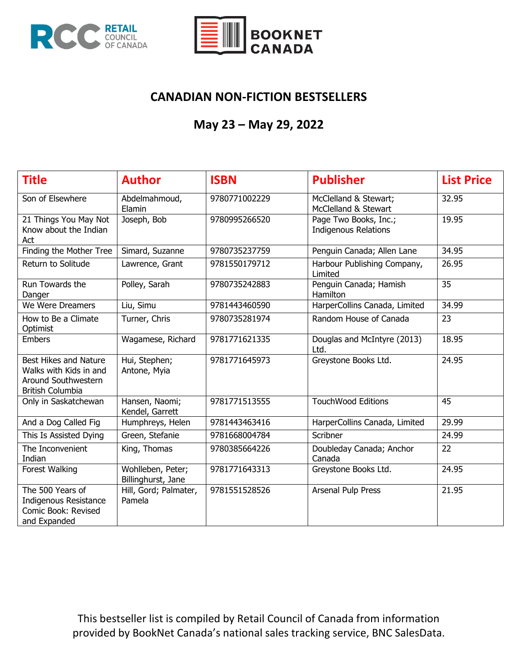



## **CANADIAN NON-FICTION BESTSELLERS**

## **May 23 – May 29, 2022**

| <b>Title</b>                                                                                             | <b>Author</b>                           | <b>ISBN</b>   | <b>Publisher</b>                                     | <b>List Price</b> |
|----------------------------------------------------------------------------------------------------------|-----------------------------------------|---------------|------------------------------------------------------|-------------------|
| Son of Elsewhere                                                                                         | Abdelmahmoud,<br>Elamin                 | 9780771002229 | McClelland & Stewart;<br>McClelland & Stewart        | 32.95             |
| 21 Things You May Not<br>Know about the Indian<br>Act                                                    | Joseph, Bob                             | 9780995266520 | Page Two Books, Inc.;<br><b>Indigenous Relations</b> | 19.95             |
| Finding the Mother Tree                                                                                  | Simard, Suzanne                         | 9780735237759 | Penguin Canada; Allen Lane                           | 34.95             |
| Return to Solitude                                                                                       | Lawrence, Grant                         | 9781550179712 | Harbour Publishing Company,<br>Limited               | 26.95             |
| Run Towards the<br>Danger                                                                                | Polley, Sarah                           | 9780735242883 | Penguin Canada; Hamish<br>Hamilton                   | 35                |
| We Were Dreamers                                                                                         | Liu, Simu                               | 9781443460590 | HarperCollins Canada, Limited                        | 34.99             |
| How to Be a Climate<br>Optimist                                                                          | Turner, Chris                           | 9780735281974 | Random House of Canada                               | 23                |
| <b>Embers</b>                                                                                            | Wagamese, Richard                       | 9781771621335 | Douglas and McIntyre (2013)<br>Ltd.                  | 18.95             |
| <b>Best Hikes and Nature</b><br>Walks with Kids in and<br>Around Southwestern<br><b>British Columbia</b> | Hui, Stephen;<br>Antone, Myia           | 9781771645973 | Greystone Books Ltd.                                 | 24.95             |
| Only in Saskatchewan                                                                                     | Hansen, Naomi;<br>Kendel, Garrett       | 9781771513555 | <b>TouchWood Editions</b>                            | 45                |
| And a Dog Called Fig                                                                                     | Humphreys, Helen                        | 9781443463416 | HarperCollins Canada, Limited                        | 29.99             |
| This Is Assisted Dying                                                                                   | Green, Stefanie                         | 9781668004784 | Scribner                                             | 24.99             |
| The Inconvenient<br>Indian                                                                               | King, Thomas                            | 9780385664226 | Doubleday Canada; Anchor<br>Canada                   | 22                |
| Forest Walking                                                                                           | Wohlleben, Peter;<br>Billinghurst, Jane | 9781771643313 | Greystone Books Ltd.                                 | 24.95             |
| The 500 Years of<br><b>Indigenous Resistance</b><br>Comic Book: Revised<br>and Expanded                  | Hill, Gord; Palmater,<br>Pamela         | 9781551528526 | Arsenal Pulp Press                                   | 21.95             |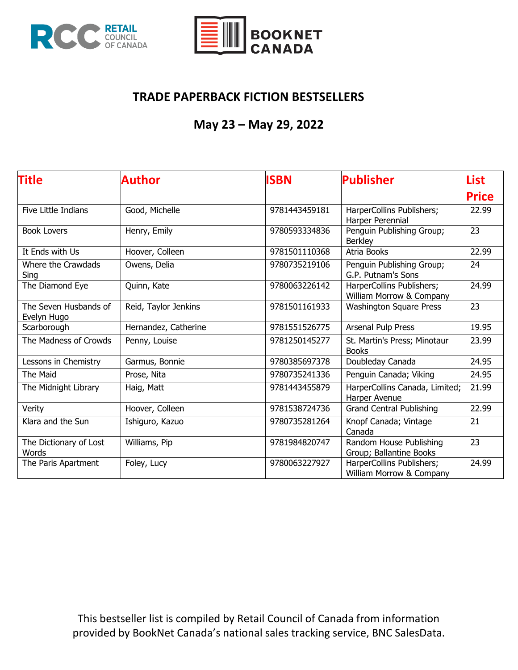



## **TRADE PAPERBACK FICTION BESTSELLERS**

# **May 23 – May 29, 2022**

| <b>Title</b>                         | Author               | <b>ISBN</b>   | <b>Publisher</b>                                      | List  |
|--------------------------------------|----------------------|---------------|-------------------------------------------------------|-------|
|                                      |                      |               |                                                       | Price |
| Five Little Indians                  | Good, Michelle       | 9781443459181 | HarperCollins Publishers;<br>Harper Perennial         | 22.99 |
| <b>Book Lovers</b>                   | Henry, Emily         | 9780593334836 | Penguin Publishing Group;<br><b>Berkley</b>           | 23    |
| It Ends with Us                      | Hoover, Colleen      | 9781501110368 | Atria Books                                           | 22.99 |
| Where the Crawdads<br>Sing           | Owens, Delia         | 9780735219106 | Penguin Publishing Group;<br>G.P. Putnam's Sons       | 24    |
| The Diamond Eye                      | Quinn, Kate          | 9780063226142 | HarperCollins Publishers;<br>William Morrow & Company | 24.99 |
| The Seven Husbands of<br>Evelyn Hugo | Reid, Taylor Jenkins | 9781501161933 | <b>Washington Square Press</b>                        | 23    |
| Scarborough                          | Hernandez, Catherine | 9781551526775 | Arsenal Pulp Press                                    | 19.95 |
| The Madness of Crowds                | Penny, Louise        | 9781250145277 | St. Martin's Press; Minotaur<br><b>Books</b>          | 23.99 |
| Lessons in Chemistry                 | Garmus, Bonnie       | 9780385697378 | Doubleday Canada                                      | 24.95 |
| The Maid                             | Prose, Nita          | 9780735241336 | Penguin Canada; Viking                                | 24.95 |
| The Midnight Library                 | Haig, Matt           | 9781443455879 | HarperCollins Canada, Limited;<br>Harper Avenue       | 21.99 |
| Verity                               | Hoover, Colleen      | 9781538724736 | <b>Grand Central Publishing</b>                       | 22.99 |
| Klara and the Sun                    | Ishiguro, Kazuo      | 9780735281264 | Knopf Canada; Vintage<br>Canada                       | 21    |
| The Dictionary of Lost<br>Words      | Williams, Pip        | 9781984820747 | Random House Publishing<br>Group; Ballantine Books    | 23    |
| The Paris Apartment                  | Foley, Lucy          | 9780063227927 | HarperCollins Publishers;<br>William Morrow & Company | 24.99 |